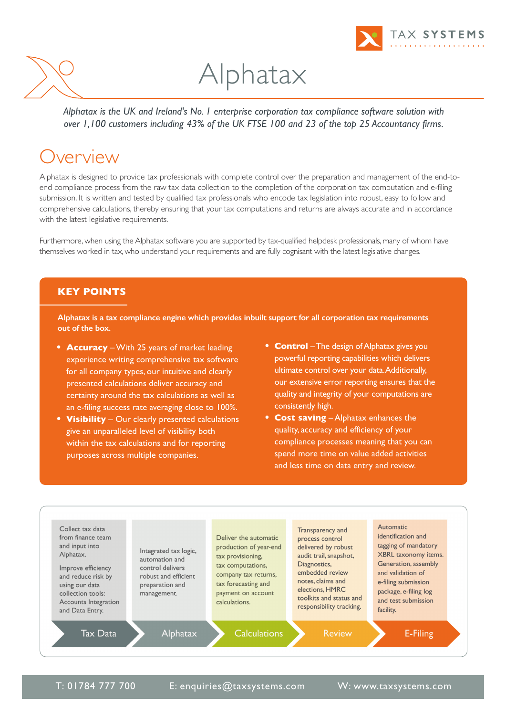



# Alphatax

*Alphatax is the UK and Ireland's No. 1 enterprise corporation tax compliance software solution with over 1,100 customers including 43% of the UK FTSE 100 and 23 of the top 25 Accountancy firms.*

#### Overview

Alphatax is designed to provide tax professionals with complete control over the preparation and management of the end-toend compliance process from the raw tax data collection to the completion of the corporation tax computation and e-filing submission. It is written and tested by qualified tax professionals who encode tax legislation into robust, easy to follow and comprehensive calculations, thereby ensuring that your tax computations and returns are always accurate and in accordance with the latest legislative requirements.

Furthermore, when using the Alphatax software you are supported by tax-qualified helpdesk professionals, many of whom have themselves worked in tax, who understand your requirements and are fully cognisant with the latest legislative changes.

#### **KEY POINTS**

**Alphatax is a tax compliance engine which provides inbuilt support for all corporation tax requirements out of the box.**

- **• Accuracy** –With 25 years of market leading experience writing comprehensive tax software for all company types, our intuitive and clearly presented calculations deliver accuracy and certainty around the tax calculations as well as an e-filing success rate averaging close to 100%.
- **• Visibility** Our clearly presented calculations give an unparalleled level of visibility both within the tax calculations and for reporting purposes across multiple companies.
- **Control** The design of Alphatax gives you powerful reporting capabilities which delivers ultimate control over your data.Additionally, our extensive error reporting ensures that the quality and integrity of your computations are consistently high.
- **• Cost saving** Alphatax enhances the quality, accuracy and efficiency of your compliance processes meaning that you can spend more time on value added activities and less time on data entry and review.



T: 01784 777 700 E: [enquiries@taxsystems.com](mailto:enquiries@taxsystems.com) W: [www.taxsystems.com](https://www.taxsystems.com/)